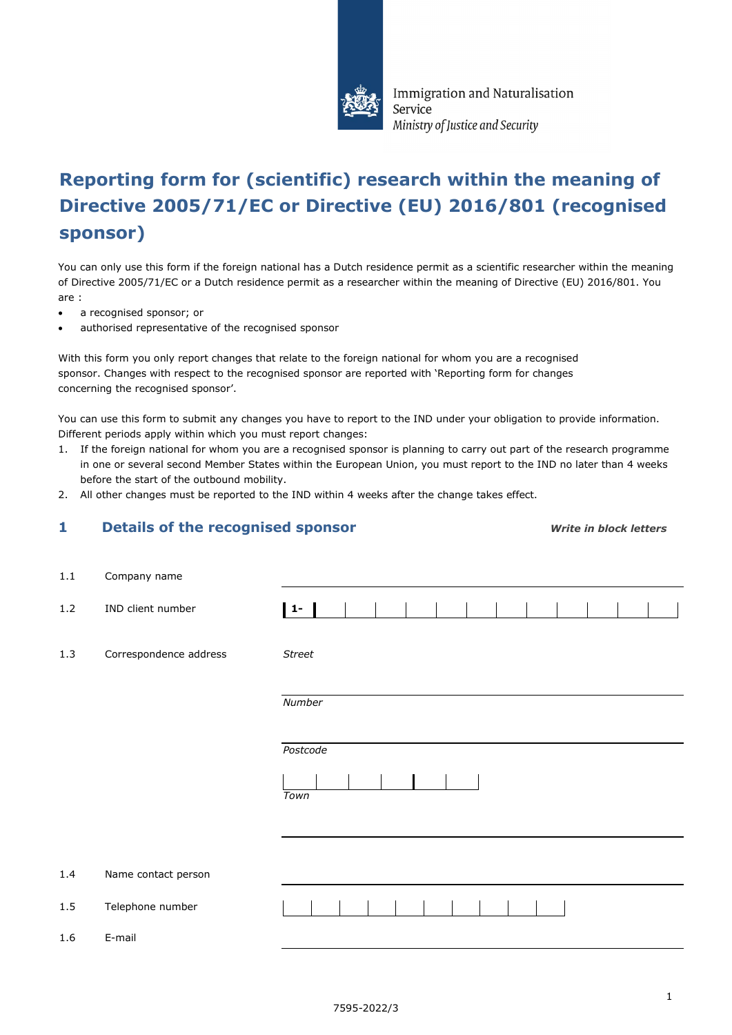

Immigration and Naturalisation Service Ministry of Justice and Security

# **Reporting form for (scientific) research within the meaning of Directive 2005/71/EC or Directive (EU) 2016/801 (recognised sponsor)**

You can only use this form if the foreign national has a Dutch residence permit as a scientific researcher within the meaning of Directive 2005/71/EC or a Dutch residence permit as a researcher within the meaning of Directive (EU) 2016/801. You are :

- a recognised sponsor; or
- authorised representative of the recognised sponsor

With this form you only report changes that relate to the foreign national for whom you are a recognised sponsor. Changes with respect to the recognised sponsor are reported with 'Reporting form for changes concerning the recognised sponsor'.

You can use this form to submit any changes you have to report to the IND under your obligation to provide information. Different periods apply within which you must report changes:

- 1. If the foreign national for whom you are a recognised sponsor is planning to carry out part of the research programme in one or several second Member States within the European Union, you must report to the IND no later than 4 weeks before the start of the outbound mobility.
- 2. All other changes must be reported to the IND within 4 weeks after the change takes effect.

## **1 Details of the recognised sponsor** *Write in block letters*

| $1.1\,$ | Company name           |               |
|---------|------------------------|---------------|
| 1.2     | IND client number      | $ 1 -  $      |
| 1.3     | Correspondence address | <b>Street</b> |
|         |                        | Number        |
|         |                        | Postcode      |
|         |                        | Town          |
|         |                        |               |
| 1.4     | Name contact person    |               |
| $1.5\,$ | Telephone number       |               |
| 1.6     | E-mail                 |               |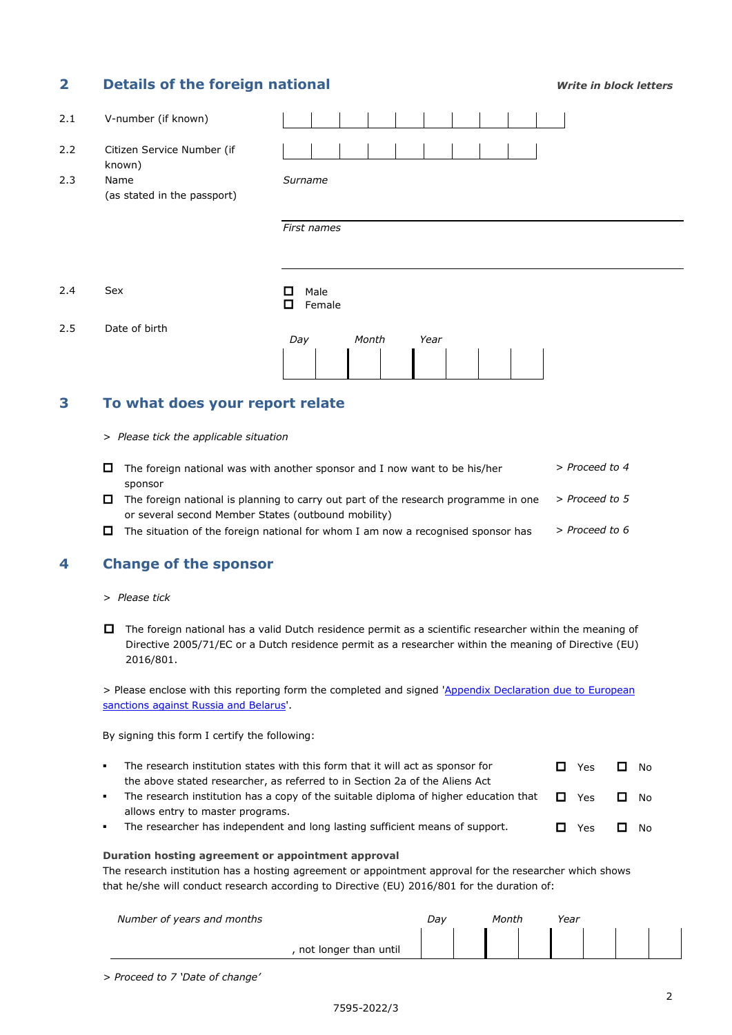## **2 Details of the foreign national** *Write in block letters*

| 2.1 | V-number (if known)                  |                          |
|-----|--------------------------------------|--------------------------|
| 2.2 | Citizen Service Number (if<br>known) |                          |
| 2.3 | Name<br>(as stated in the passport)  | Surname                  |
|     |                                      | First names              |
| 2.4 | Sex                                  | Male<br>□<br>0<br>Female |
| 2.5 | Date of birth                        | Month<br>Day<br>Year     |

## **3 To what does your report relate**

*> Please tick the applicable situation*

|   | $\Box$ The foreign national was with another sponsor and I now want to be his/her   | > Proceed to 4 |
|---|-------------------------------------------------------------------------------------|----------------|
|   | sponsor                                                                             |                |
|   | The foreign national is planning to carry out part of the research programme in one | > Proceed to 5 |
|   | or several second Member States (outbound mobility)                                 |                |
| 0 | The situation of the foreign national for whom I am now a recognised sponsor has    | > Proceed to 6 |

## **4 Change of the sponsor**

- *> Please tick*
- The foreign national has a valid Dutch residence permit as a scientific researcher within the meaning of Directive 2005/71/EC or a Dutch residence permit as a researcher within the meaning of Directive (EU) 2016/801.

> Please enclose with this reporting form the completed and signed 'Appendix Declaration due to European [sanctions against Russia and Belarus'.](https://ind.nl/en/forms/7675.pdf)

By signing this form I certify the following:

- The research institution states with this form that it will act as sponsor for the above stated researcher, as referred to in Section 2a of the Aliens Act  $\Box$  Yes  $\Box$  No
- The research institution has a copy of the suitable diploma of higher education that allows entry to master programs. **D** Yes **D** No
- The researcher has independent and long lasting sufficient means of support.  $\Box$  Yes  $\Box$  No

#### **Duration hosting agreement or appointment approval**

The research institution has a hosting agreement or appointment approval for the researcher which shows that he/she will conduct research according to Directive (EU) 2016/801 for the duration of:

| Number of years and months | Dav | Month | Year |  |  |
|----------------------------|-----|-------|------|--|--|
| not longer than until      |     |       |      |  |  |

*> Proceed to 7 'Date of change'*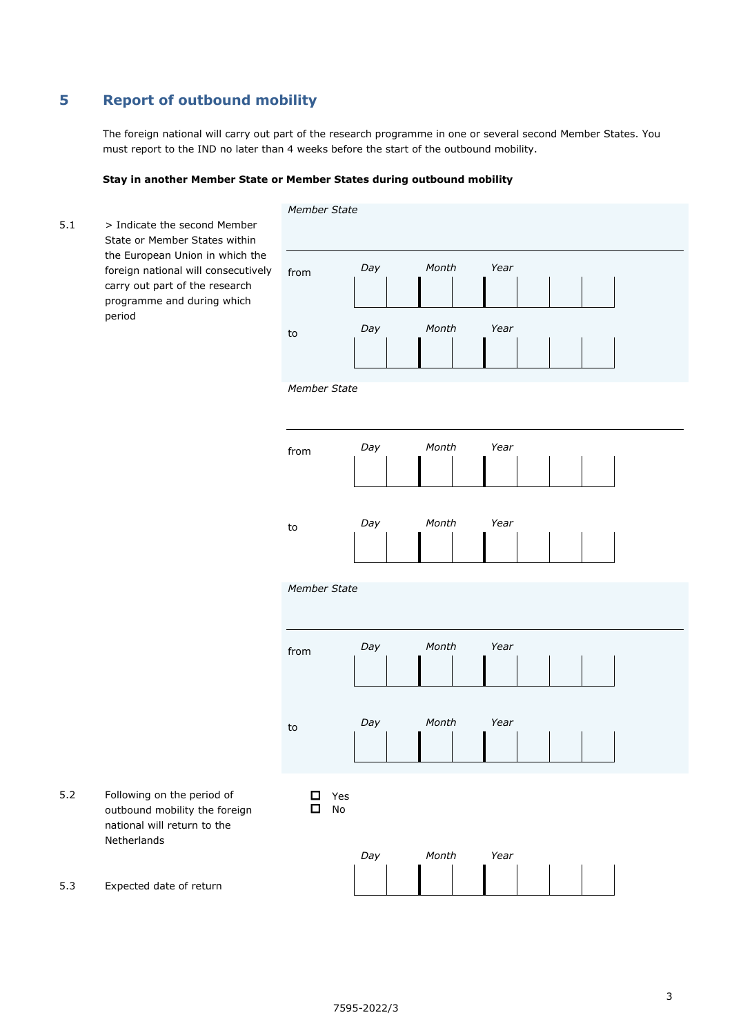## **5 Report of outbound mobility**

The foreign national will carry out part of the research programme in one or several second Member States. You must report to the IND no later than 4 weeks before the start of the outbound mobility.

#### **Stay in another Member State or Member States during outbound mobility**

 $5.1$  > Indicate the second Member State or Member States within the European Union in which the foreign national will consecutively carry out part of the research programme and during which period *Member State* from to *Day Month Year Day Month Year Member State* from to *Day Month Year Day Month Year Member State* from to *Day Month Year Day Month Year* 5.2 Following on the period of outbound mobility the foreign national will return to the Netherlands **D** Yes  $\Box$  No 5.3 Expected date of return *Day Month Year*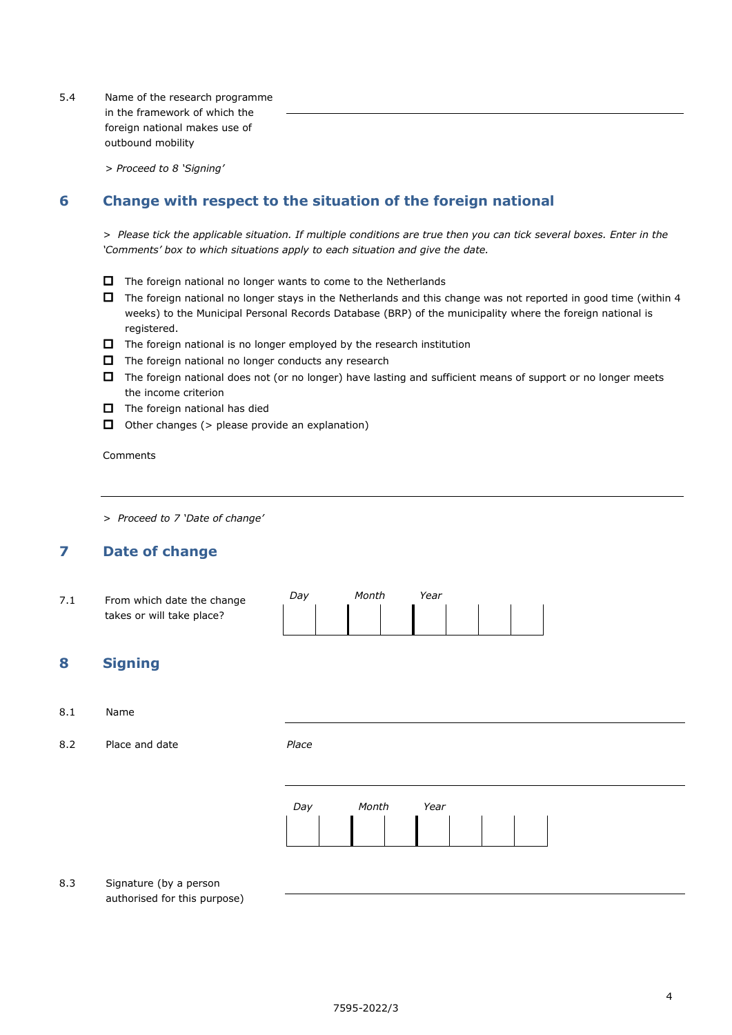5.4 Name of the research programme in the framework of which the foreign national makes use of outbound mobility

*> Proceed to 8 'Signing'*

## **6 Change with respect to the situation of the foreign national**

*> Please tick the applicable situation. If multiple conditions are true then you can tick several boxes. Enter in the 'Comments' box to which situations apply to each situation and give the date.* 

- $\Box$  The foreign national no longer wants to come to the Netherlands
- $\Box$  The foreign national no longer stays in the Netherlands and this change was not reported in good time (within 4 weeks) to the Municipal Personal Records Database (BRP) of the municipality where the foreign national is registered.
- $\Box$  The foreign national is no longer employed by the research institution
- $\Box$  The foreign national no longer conducts any research
- $\Box$  The foreign national does not (or no longer) have lasting and sufficient means of support or no longer meets the income criterion
- $\Box$  The foreign national has died
- $\Box$  Other changes ( $>$  please provide an explanation)

Comments

*> Proceed to 7 'Date of change'*

## **7 Date of change**

| $\sqrt{1}$ | From which date the change | Dav | Month | Year |  |  |  |
|------------|----------------------------|-----|-------|------|--|--|--|
|            | takes or will take place?  |     |       |      |  |  |  |

## **8 Signing**

#### 8.1 Name

8.2 Place and date *Place*



8.3 Signature (by a person authorised for this purpose)